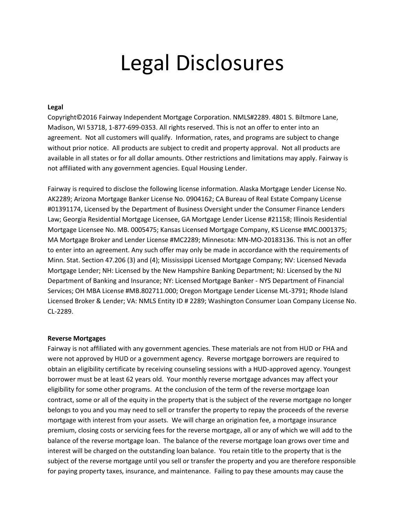## Legal Disclosures

## **Legal**

Copyright©2016 Fairway Independent Mortgage Corporation. NMLS#2289. 4801 S. Biltmore Lane, Madison, WI 53718, 1-877-699-0353. All rights reserved. This is not an offer to enter into an agreement. Not all customers will qualify. Information, rates, and programs are subject to change without prior notice. All products are subject to credit and property approval. Not all products are available in all states or for all dollar amounts. Other restrictions and limitations may apply. Fairway is not affiliated with any government agencies. Equal Housing Lender.

Fairway is required to disclose the following license information. Alaska Mortgage Lender License No. AK2289; Arizona Mortgage Banker License No. 0904162; CA Bureau of Real Estate Company License #01391174, Licensed by the Department of Business Oversight under the Consumer Finance Lenders Law; Georgia Residential Mortgage Licensee, GA Mortgage Lender License #21158; Illinois Residential Mortgage Licensee No. MB. 0005475; Kansas Licensed Mortgage Company, KS License #MC.0001375; MA Mortgage Broker and Lender License #MC2289; Minnesota: MN-MO-20183136. This is not an offer to enter into an agreement. Any such offer may only be made in accordance with the requirements of Minn. Stat. Section 47.206 (3) and (4); Mississippi Licensed Mortgage Company; NV: Licensed Nevada Mortgage Lender; NH: Licensed by the New Hampshire Banking Department; NJ: Licensed by the NJ Department of Banking and Insurance; NY: Licensed Mortgage Banker - NYS Department of Financial Services; OH MBA License #MB.802711.000; Oregon Mortgage Lender License ML-3791; Rhode Island Licensed Broker & Lender; VA: NMLS Entity ID # 2289; Washington Consumer Loan Company License No. CL-2289.

## **Reverse Mortgages**

Fairway is not affiliated with any government agencies. These materials are not from HUD or FHA and were not approved by HUD or a government agency. Reverse mortgage borrowers are required to obtain an eligibility certificate by receiving counseling sessions with a HUD-approved agency. Youngest borrower must be at least 62 years old. Your monthly reverse mortgage advances may affect your eligibility for some other programs. At the conclusion of the term of the reverse mortgage loan contract, some or all of the equity in the property that is the subject of the reverse mortgage no longer belongs to you and you may need to sell or transfer the property to repay the proceeds of the reverse mortgage with interest from your assets. We will charge an origination fee, a mortgage insurance premium, closing costs or servicing fees for the reverse mortgage, all or any of which we will add to the balance of the reverse mortgage loan. The balance of the reverse mortgage loan grows over time and interest will be charged on the outstanding loan balance. You retain title to the property that is the subject of the reverse mortgage until you sell or transfer the property and you are therefore responsible for paying property taxes, insurance, and maintenance. Failing to pay these amounts may cause the